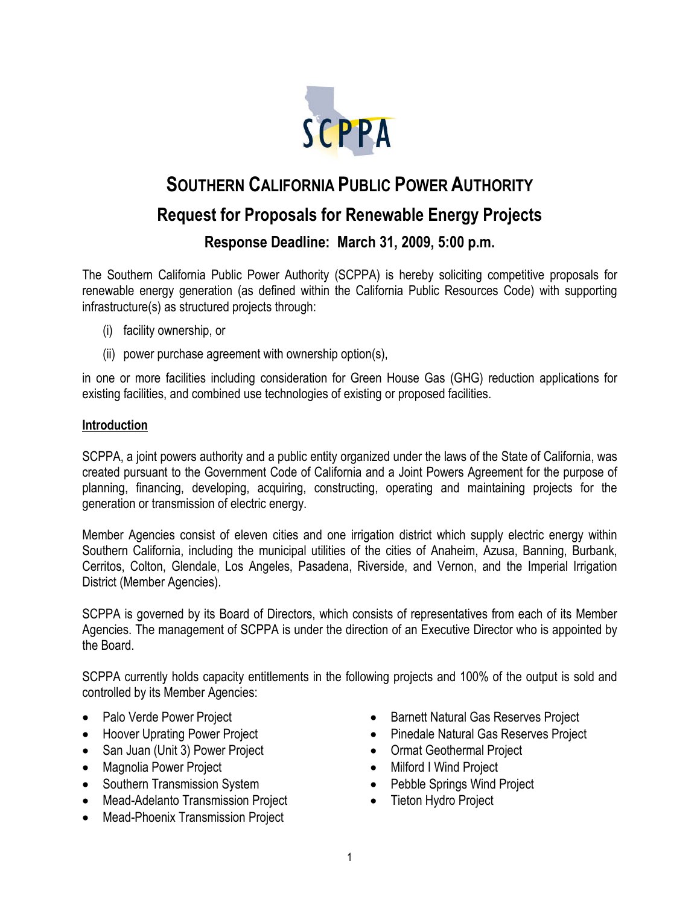

# **SOUTHERN CALIFORNIA PUBLIC POWER AUTHORITY Request for Proposals for Renewable Energy Projects**

**Response Deadline: March 31, 2009, 5:00 p.m.**

The Southern California Public Power Authority (SCPPA) is hereby soliciting competitive proposals for renewable energy generation (as defined within the California Public Resources Code) with supporting infrastructure(s) as structured projects through:

- (i) facility ownership, or
- (ii) power purchase agreement with ownership option(s),

in one or more facilities including consideration for Green House Gas (GHG) reduction applications for existing facilities, and combined use technologies of existing or proposed facilities.

## **Introduction**

SCPPA, a joint powers authority and a public entity organized under the laws of the State of California, was created pursuant to the Government Code of California and a Joint Powers Agreement for the purpose of planning, financing, developing, acquiring, constructing, operating and maintaining projects for the generation or transmission of electric energy.

Member Agencies consist of eleven cities and one irrigation district which supply electric energy within Southern California, including the municipal utilities of the cities of Anaheim, Azusa, Banning, Burbank, Cerritos, Colton, Glendale, Los Angeles, Pasadena, Riverside, and Vernon, and the Imperial Irrigation District (Member Agencies).

SCPPA is governed by its Board of Directors, which consists of representatives from each of its Member Agencies. The management of SCPPA is under the direction of an Executive Director who is appointed by the Board.

SCPPA currently holds capacity entitlements in the following projects and 100% of the output is sold and controlled by its Member Agencies:

- Palo Verde Power Project
- Hoover Uprating Power Project
- San Juan (Unit 3) Power Project
- Magnolia Power Project
- Southern Transmission System
- Mead-Adelanto Transmission Project
- Mead-Phoenix Transmission Project
- Barnett Natural Gas Reserves Project
- Pinedale Natural Gas Reserves Project
- Ormat Geothermal Project
- Milford I Wind Project
- Pebble Springs Wind Project
- Tieton Hydro Project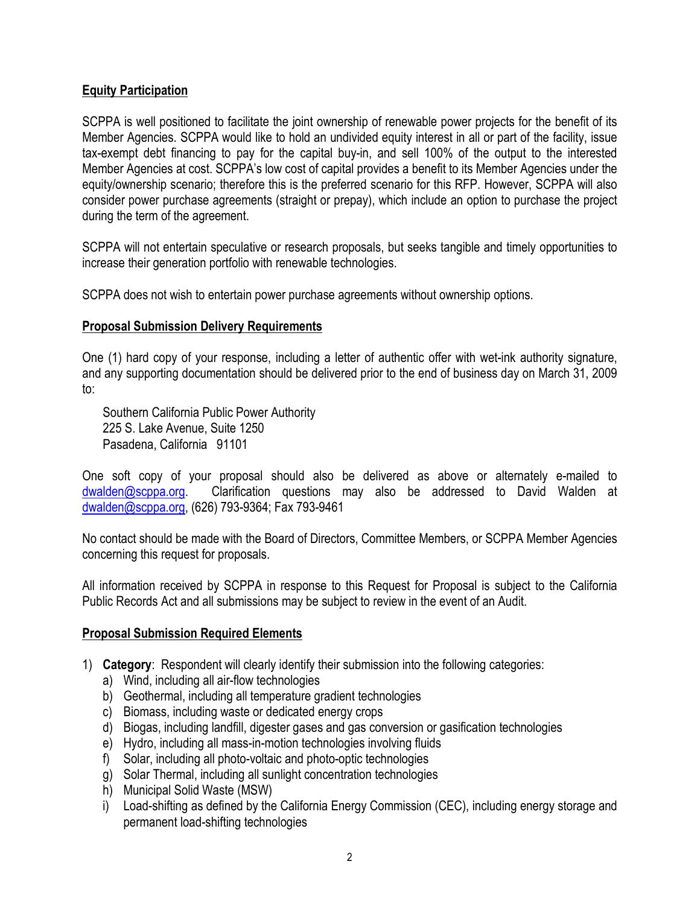## **Equity Participation**

SCPPA is well positioned to facilitate the joint ownership of renewable power projects for the benefit of its Member Agencies. SCPPA would like to hold an undivided equity interest in all or part of the facility, issue tax-exempt debt financing to pay for the capital buy-in, and sell 100% of the output to the interested Member Agencies at cost. SCPPA's low cost of capital provides a benefit to its Member Agencies under the equity/ownership scenario; therefore this is the preferred scenario for this RFP. However, SCPPA will also consider power purchase agreements (straight or prepay), which include an option to purchase the project during the term of the agreement.

SCPPA will not entertain speculative or research proposals, but seeks tangible and timely opportunities to increase their generation portfolio with renewable technologies.

SCPPA does not wish to entertain power purchase agreements without ownership options.

### **Proposal Submission Delivery Requirements**

One (1) hard copy of your response, including a letter of authentic offer with wet-ink authority signature, and any supporting documentation should be delivered prior to the end of business day on March 31, 2009 to:

Southern California Public Power Authority 225 S. Lake Avenue, Suite 1250 Pasadena, California 91101

One soft copy of your proposal should also be delivered as above or alternately e-mailed to dwalden@scppa.org. Clarification questions may also be addressed to David Walden at dwalden@scppa.org, (626) 793-9364; Fax 793-9461

No contact should be made with the Board of Directors, Committee Members, or SCPPA Member Agencies concerning this request for proposals.

All information received by SCPPA in response to this Request for Proposal is subject to the California Public Records Act and all submissions may be subject to review in the event of an Audit.

#### **Proposal Submission Required Elements**

- 1) **Category**: Respondent will clearly identify their submission into the following categories:
	- a) Wind, including all air-flow technologies
	- b) Geothermal, including all temperature gradient technologies
	- c) Biomass, including waste or dedicated energy crops
	- d) Biogas, including landfill, digester gases and gas conversion or gasification technologies
	- e) Hydro, including all mass-in-motion technologies involving fluids
	- f) Solar, including all photo-voltaic and photo-optic technologies
	- g) Solar Thermal, including all sunlight concentration technologies
	- h) Municipal Solid Waste (MSW)
	- i) Load-shifting as defined by the California Energy Commission (CEC), including energy storage and permanent load-shifting technologies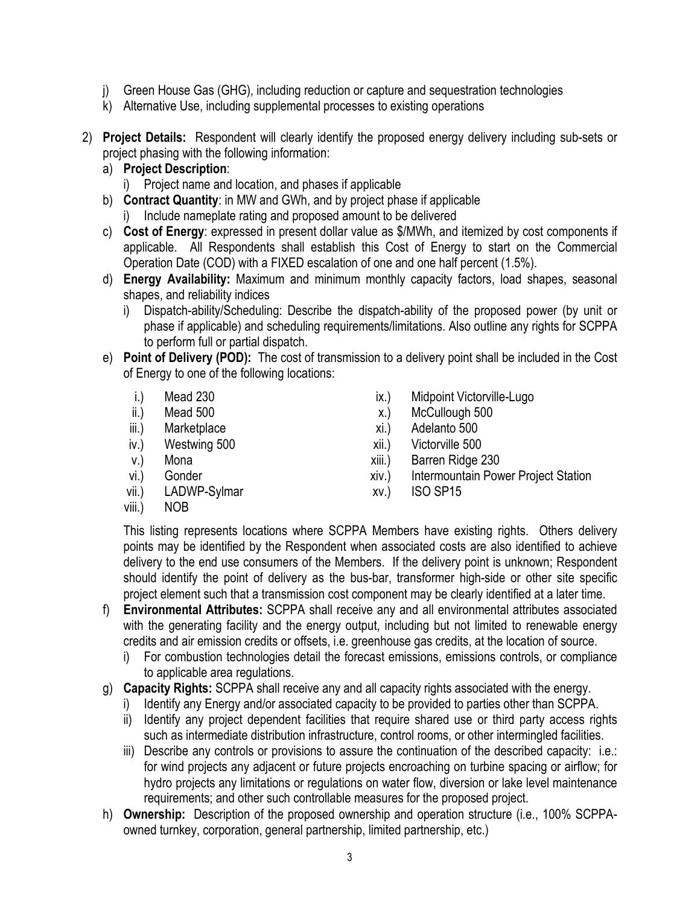- j) Green House Gas (GHG), including reduction or capture and sequestration technologies
- k) Alternative Use, including supplemental processes to existing operations
- 2) **Project Details:** Respondent will clearly identify the proposed energy delivery including sub-sets or project phasing with the following information:
	- a) **Project Description**:
		- i) Project name and location, and phases if applicable
	- b) **Contract Quantity**: in MW and GWh, and by project phase if applicable
		- i) Include nameplate rating and proposed amount to be delivered
	- c) **Cost of Energy**: expressed in present dollar value as \$/MWh, and itemized by cost components if applicable. All Respondents shall establish this Cost of Energy to start on the Commercial Operation Date (COD) with a FIXED escalation of one and one half percent (1.5%).
	- d) **Energy Availability:** Maximum and minimum monthly capacity factors, load shapes, seasonal shapes, and reliability indices
		- i) Dispatch-ability/Scheduling: Describe the dispatch-ability of the proposed power (by unit or phase if applicable) and scheduling requirements/limitations. Also outline any rights for SCPPA to perform full or partial dispatch.
	- e) **Point of Delivery (POD):** The cost of transmission to a delivery point shall be included in the Cost of Energy to one of the following locations:
		- i.) Mead 230
		- ii.) Mead 500
		- iii.) Marketplace
		- iv.) Westwing 500
		- v.) Mona
		- vi.) Gonder
		- vii.) LADWP-Sylmar
		- viii.) NOB
- ix.) Midpoint Victorville-Lugo
- x.) McCullough 500
- xi.) Adelanto 500
- xii.) Victorville 500
- xiii.) Barren Ridge 230
- xiv.) Intermountain Power Project Station
- xv.) ISO SP15

This listing represents locations where SCPPA Members have existing rights. Others delivery points may be identified by the Respondent when associated costs are also identified to achieve delivery to the end use consumers of the Members. If the delivery point is unknown; Respondent should identify the point of delivery as the bus-bar, transformer high-side or other site specific project element such that a transmission cost component may be clearly identified at a later time.

- f) **Environmental Attributes:** SCPPA shall receive any and all environmental attributes associated with the generating facility and the energy output, including but not limited to renewable energy credits and air emission credits or offsets, i.e. greenhouse gas credits, at the location of source.
	- i) For combustion technologies detail the forecast emissions, emissions controls, or compliance to applicable area regulations.
- g) **Capacity Rights:** SCPPA shall receive any and all capacity rights associated with the energy.
	- i) Identify any Energy and/or associated capacity to be provided to parties other than SCPPA.
	- ii) Identify any project dependent facilities that require shared use or third party access rights such as intermediate distribution infrastructure, control rooms, or other intermingled facilities.
	- iii) Describe any controls or provisions to assure the continuation of the described capacity: i.e.: for wind projects any adjacent or future projects encroaching on turbine spacing or airflow; for hydro projects any limitations or regulations on water flow, diversion or lake level maintenance requirements; and other such controllable measures for the proposed project.
- h) **Ownership:** Description of the proposed ownership and operation structure (i.e., 100% SCPPAowned turnkey, corporation, general partnership, limited partnership, etc.)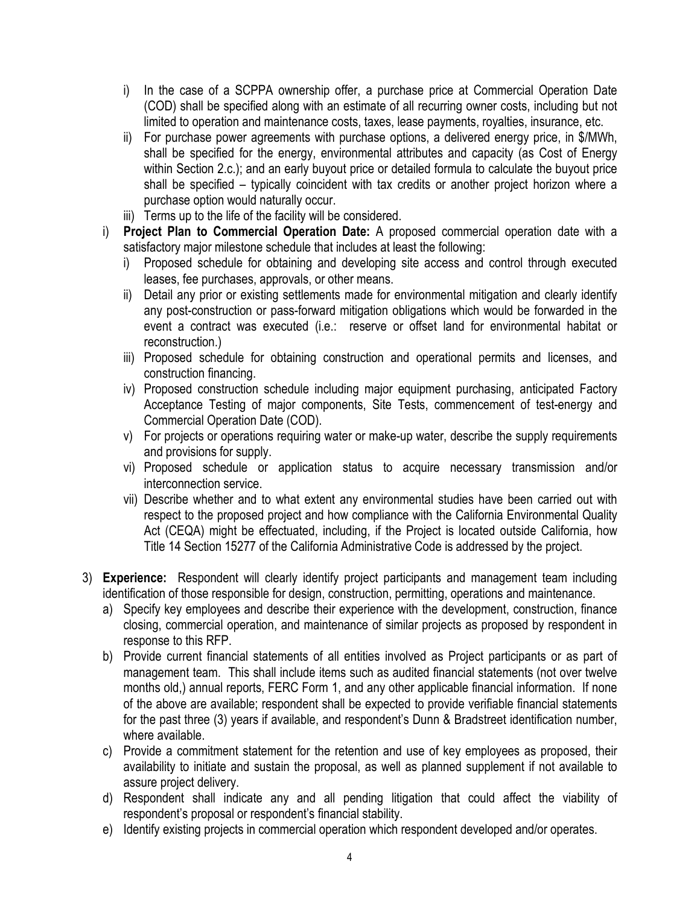- i) In the case of a SCPPA ownership offer, a purchase price at Commercial Operation Date (COD) shall be specified along with an estimate of all recurring owner costs, including but not limited to operation and maintenance costs, taxes, lease payments, royalties, insurance, etc.
- ii) For purchase power agreements with purchase options, a delivered energy price, in \$/MWh, shall be specified for the energy, environmental attributes and capacity (as Cost of Energy within Section 2.c.); and an early buyout price or detailed formula to calculate the buyout price shall be specified – typically coincident with tax credits or another project horizon where a purchase option would naturally occur.
- iii) Terms up to the life of the facility will be considered.
- i) **Project Plan to Commercial Operation Date:** A proposed commercial operation date with a satisfactory major milestone schedule that includes at least the following:
	- i) Proposed schedule for obtaining and developing site access and control through executed leases, fee purchases, approvals, or other means.
	- ii) Detail any prior or existing settlements made for environmental mitigation and clearly identify any post-construction or pass-forward mitigation obligations which would be forwarded in the event a contract was executed (i.e.: reserve or offset land for environmental habitat or reconstruction.)
	- iii) Proposed schedule for obtaining construction and operational permits and licenses, and construction financing.
	- iv) Proposed construction schedule including major equipment purchasing, anticipated Factory Acceptance Testing of major components, Site Tests, commencement of test-energy and Commercial Operation Date (COD).
	- v) For projects or operations requiring water or make-up water, describe the supply requirements and provisions for supply.
	- vi) Proposed schedule or application status to acquire necessary transmission and/or interconnection service.
	- vii) Describe whether and to what extent any environmental studies have been carried out with respect to the proposed project and how compliance with the California Environmental Quality Act (CEQA) might be effectuated, including, if the Project is located outside California, how Title 14 Section 15277 of the California Administrative Code is addressed by the project.
- 3) **Experience:** Respondent will clearly identify project participants and management team including identification of those responsible for design, construction, permitting, operations and maintenance.
	- a) Specify key employees and describe their experience with the development, construction, finance closing, commercial operation, and maintenance of similar projects as proposed by respondent in response to this RFP.
	- b) Provide current financial statements of all entities involved as Project participants or as part of management team. This shall include items such as audited financial statements (not over twelve months old,) annual reports, FERC Form 1, and any other applicable financial information. If none of the above are available; respondent shall be expected to provide verifiable financial statements for the past three (3) years if available, and respondent's Dunn & Bradstreet identification number, where available.
	- c) Provide a commitment statement for the retention and use of key employees as proposed, their availability to initiate and sustain the proposal, as well as planned supplement if not available to assure project delivery.
	- d) Respondent shall indicate any and all pending litigation that could affect the viability of respondent's proposal or respondent's financial stability.
	- e) Identify existing projects in commercial operation which respondent developed and/or operates.